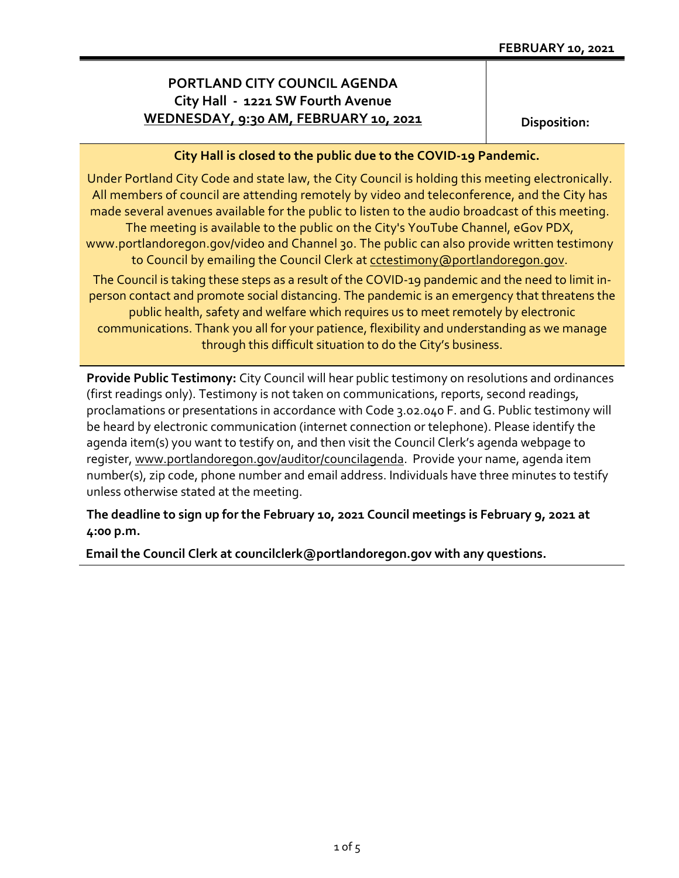## **PORTLAND CITY COUNCIL AGENDA City Hall - 1221 SW Fourth Avenue WEDNESDAY, 9:30 AM, FEBRUARY 10, 2021 Disposition:**

## **City Hall is closed to the public due to the COVID-19 Pandemic.**

Under Portland City Code and state law, the City Council is holding this meeting electronically. All members of council are attending remotely by video and teleconference, and the City has made several avenues available for the public to listen to the audio broadcast of this meeting. The meeting is available to the public on the City's YouTube Channel, eGov PDX, www.portlandoregon.gov/video and Channel 30. The public can also provide written testimony to Council by emailing the Council Clerk at cotestimony@portlandoregon.gov. The Council is taking these steps as a result of the COVID-19 pandemic and the need to limit inperson contact and promote social distancing. The pandemic is an emergency that threatens the public health, safety and welfare which requires us to meet remotely by electronic communications. Thank you all for your patience, flexibility and understanding as we manage through this difficult situation to do the City's business.

**Provide Public Testimony:** City Council will hear public testimony on resolutions and ordinances (first readings only). Testimony is not taken on communications, reports, second readings, proclamations or presentations in accordance with Code 3.02.040 F. and G. Public testimony will be heard by electronic communication (internet connection or telephone). Please identify the agenda item(s) you want to testify on, and then visit the Council Clerk's agenda webpage to register, [www.portlandoregon.gov/auditor/councilagenda.](http://www.portlandoregon.gov/auditor/councilagenda) Provide your name, agenda item number(s), zip code, phone number and email address. Individuals have three minutes to testify unless otherwise stated at the meeting.

**The deadline to sign up for the February 10, 2021 Council meetings is February 9, 2021 at 4:00 p.m.**

**Email the Council Clerk at councilclerk@portlandoregon.gov with any questions.**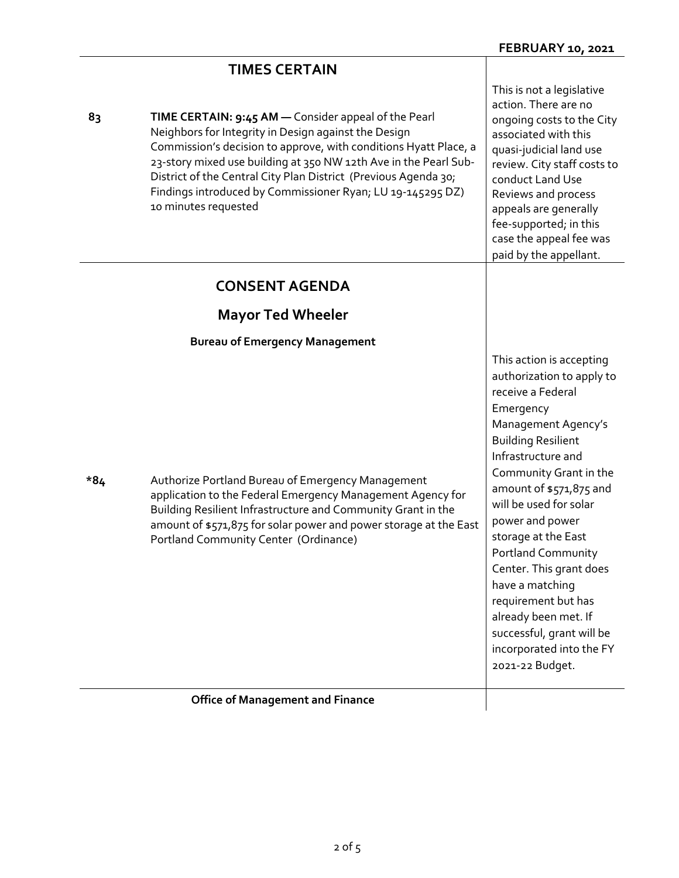## **TIMES CERTAIN**

| 83  | TIME CERTAIN: 9:45 AM - Consider appeal of the Pearl<br>Neighbors for Integrity in Design against the Design<br>Commission's decision to approve, with conditions Hyatt Place, a<br>23-story mixed use building at 350 NW 12th Ave in the Pearl Sub-<br>District of the Central City Plan District (Previous Agenda 30;<br>Findings introduced by Commissioner Ryan; LU 19-145295 DZ)<br>10 minutes requested | This is not a legislative<br>action. There are no<br>ongoing costs to the City<br>associated with this<br>quasi-judicial land use<br>review. City staff costs to<br>conduct Land Use<br>Reviews and process<br>appeals are generally<br>fee-supported; in this<br>case the appeal fee was<br>paid by the appellant.                                                                                                                                                                              |
|-----|---------------------------------------------------------------------------------------------------------------------------------------------------------------------------------------------------------------------------------------------------------------------------------------------------------------------------------------------------------------------------------------------------------------|--------------------------------------------------------------------------------------------------------------------------------------------------------------------------------------------------------------------------------------------------------------------------------------------------------------------------------------------------------------------------------------------------------------------------------------------------------------------------------------------------|
|     | <b>CONSENT AGENDA</b>                                                                                                                                                                                                                                                                                                                                                                                         |                                                                                                                                                                                                                                                                                                                                                                                                                                                                                                  |
|     | <b>Mayor Ted Wheeler</b>                                                                                                                                                                                                                                                                                                                                                                                      |                                                                                                                                                                                                                                                                                                                                                                                                                                                                                                  |
|     | <b>Bureau of Emergency Management</b>                                                                                                                                                                                                                                                                                                                                                                         |                                                                                                                                                                                                                                                                                                                                                                                                                                                                                                  |
| *84 | Authorize Portland Bureau of Emergency Management<br>application to the Federal Emergency Management Agency for<br>Building Resilient Infrastructure and Community Grant in the<br>amount of \$571,875 for solar power and power storage at the East<br>Portland Community Center (Ordinance)                                                                                                                 | This action is accepting<br>authorization to apply to<br>receive a Federal<br>Emergency<br>Management Agency's<br><b>Building Resilient</b><br>Infrastructure and<br>Community Grant in the<br>amount of \$571,875 and<br>will be used for solar<br>power and power<br>storage at the East<br><b>Portland Community</b><br>Center. This grant does<br>have a matching<br>requirement but has<br>already been met. If<br>successful, grant will be<br>incorporated into the FY<br>2021-22 Budget. |
|     | <b>Office of Management and Finance</b>                                                                                                                                                                                                                                                                                                                                                                       |                                                                                                                                                                                                                                                                                                                                                                                                                                                                                                  |

## **Office of Management and Finance**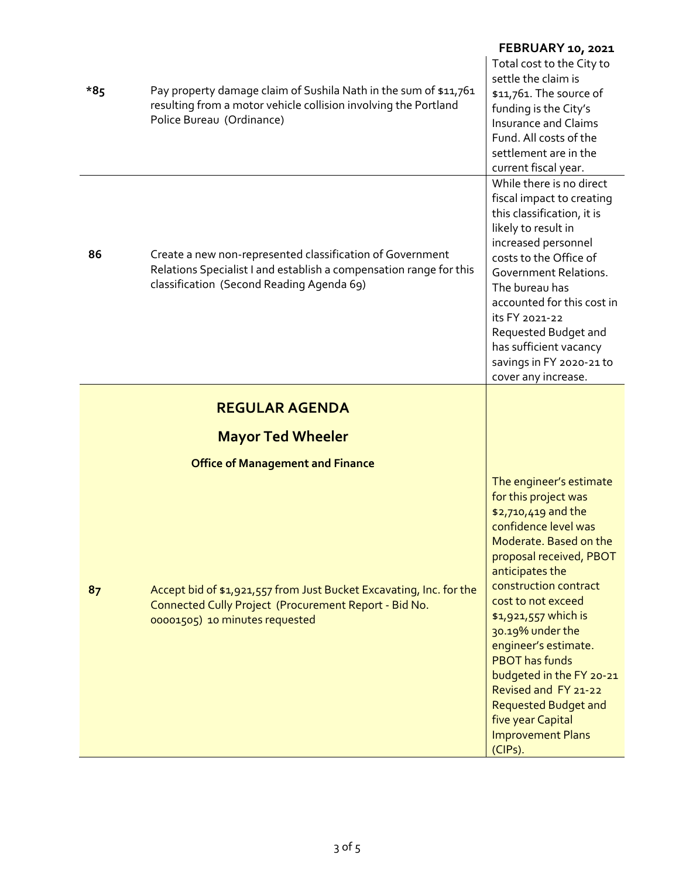| $*8_{5}$ | Pay property damage claim of Sushila Nath in the sum of \$11,761<br>resulting from a motor vehicle collision involving the Portland<br>Police Bureau (Ordinance)             | FEBRUARY 10, 2021<br>Total cost to the City to<br>settle the claim is<br>\$11,761. The source of<br>funding is the City's<br><b>Insurance and Claims</b><br>Fund. All costs of the<br>settlement are in the<br>current fiscal year.                                                                                                                                                                                                                               |
|----------|------------------------------------------------------------------------------------------------------------------------------------------------------------------------------|-------------------------------------------------------------------------------------------------------------------------------------------------------------------------------------------------------------------------------------------------------------------------------------------------------------------------------------------------------------------------------------------------------------------------------------------------------------------|
| 86       | Create a new non-represented classification of Government<br>Relations Specialist I and establish a compensation range for this<br>classification (Second Reading Agenda 69) | While there is no direct<br>fiscal impact to creating<br>this classification, it is<br>likely to result in<br>increased personnel<br>costs to the Office of<br><b>Government Relations.</b><br>The bureau has<br>accounted for this cost in<br>its FY 2021-22<br>Requested Budget and<br>has sufficient vacancy<br>savings in FY 2020-21 to<br>cover any increase.                                                                                                |
|          | <b>REGULAR AGENDA</b>                                                                                                                                                        |                                                                                                                                                                                                                                                                                                                                                                                                                                                                   |
|          | <b>Mayor Ted Wheeler</b>                                                                                                                                                     |                                                                                                                                                                                                                                                                                                                                                                                                                                                                   |
|          | <b>Office of Management and Finance</b>                                                                                                                                      |                                                                                                                                                                                                                                                                                                                                                                                                                                                                   |
| 87       | Accept bid of \$1,921,557 from Just Bucket Excavating, Inc. for the<br>Connected Cully Project (Procurement Report - Bid No.<br>00001505) 10 minutes requested               | The engineer's estimate<br>for this project was<br>\$2,710,419 and the<br>confidence level was<br>Moderate. Based on the<br>proposal received, PBOT<br>anticipates the<br>construction contract<br>cost to not exceed<br>\$1,921,557 which is<br>30.19% under the<br>engineer's estimate.<br><b>PBOT</b> has funds<br>budgeted in the FY 20-21<br>Revised and FY 21-22<br><b>Requested Budget and</b><br>five year Capital<br><b>Improvement Plans</b><br>(CIPs). |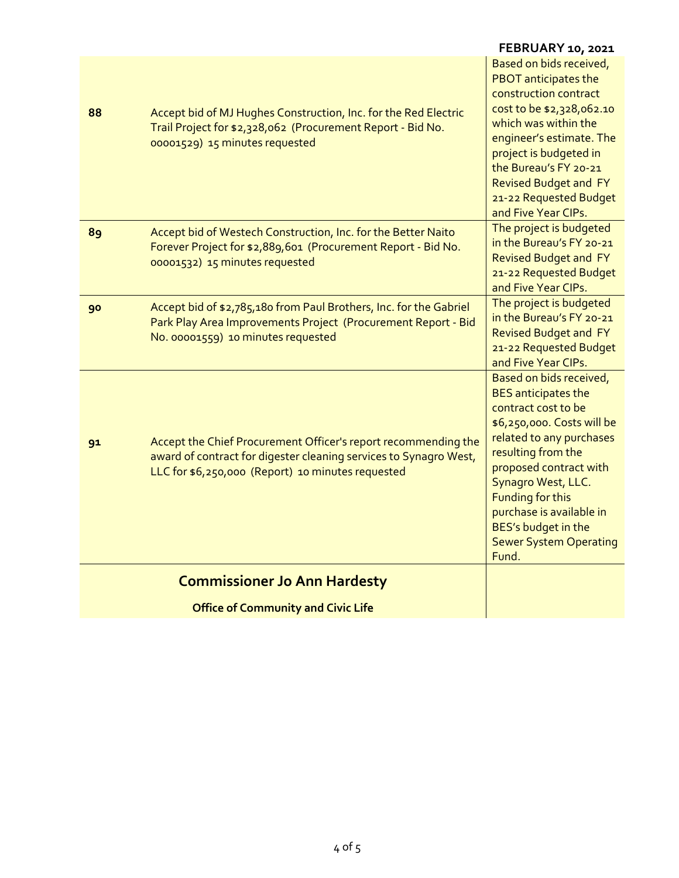|    |                                                                                                                                                                                          | FEBRUARY 10, 2021                                                                                                                                                                                                                                                                                                             |
|----|------------------------------------------------------------------------------------------------------------------------------------------------------------------------------------------|-------------------------------------------------------------------------------------------------------------------------------------------------------------------------------------------------------------------------------------------------------------------------------------------------------------------------------|
| 88 | Accept bid of MJ Hughes Construction, Inc. for the Red Electric<br>Trail Project for \$2,328,062 (Procurement Report - Bid No.<br>00001529) 15 minutes requested                         | Based on bids received,<br>PBOT anticipates the<br>construction contract<br>cost to be \$2,328,062.10<br>which was within the<br>engineer's estimate. The<br>project is budgeted in<br>the Bureau's FY 20-21<br><b>Revised Budget and FY</b><br>21-22 Requested Budget<br>and Five Year CIPs.                                 |
| 89 | Accept bid of Westech Construction, Inc. for the Better Naito<br>Forever Project for \$2,889,601 (Procurement Report - Bid No.<br>00001532) 15 minutes requested                         | The project is budgeted<br>in the Bureau's FY 20-21<br><b>Revised Budget and FY</b><br>21-22 Requested Budget<br>and Five Year CIPs.                                                                                                                                                                                          |
| 90 | Accept bid of \$2,785,180 from Paul Brothers, Inc. for the Gabriel<br>Park Play Area Improvements Project (Procurement Report - Bid<br>No. 00001559) 10 minutes requested                | The project is budgeted<br>in the Bureau's FY 20-21<br><b>Revised Budget and FY</b><br>21-22 Requested Budget<br>and Five Year CIPs.                                                                                                                                                                                          |
| 91 | Accept the Chief Procurement Officer's report recommending the<br>award of contract for digester cleaning services to Synagro West,<br>LLC for \$6,250,000 (Report) 10 minutes requested | Based on bids received,<br><b>BES</b> anticipates the<br>contract cost to be<br>\$6,250,000. Costs will be<br>related to any purchases<br>resulting from the<br>proposed contract with<br>Synagro West, LLC.<br>Funding for this<br>purchase is available in<br>BES's budget in the<br><b>Sewer System Operating</b><br>Fund. |
|    | <b>Commissioner Jo Ann Hardesty</b>                                                                                                                                                      |                                                                                                                                                                                                                                                                                                                               |
|    | <b>Office of Community and Civic Life</b>                                                                                                                                                |                                                                                                                                                                                                                                                                                                                               |